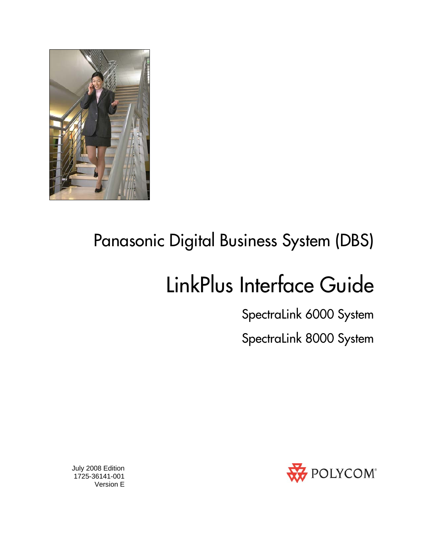

## Panasonic Digital Business System (DBS)

# LinkPlus Interface Guide

SpectraLink 6000 System

SpectraLink 8000 System



 July 2008 Edition 1725-36141-001 Version E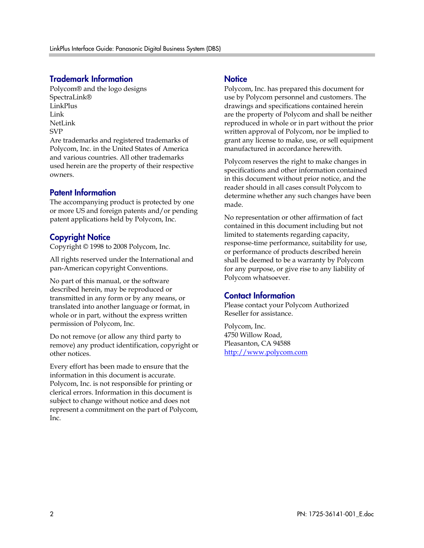### Trademark Information

Polycom® and the logo designs SpectraLink® LinkPlus Link NetLink SVP

Are trademarks and registered trademarks of Polycom, Inc. in the United States of America and various countries. All other trademarks used herein are the property of their respective owners.

#### Patent Information

The accompanying product is protected by one or more US and foreign patents and/or pending patent applications held by Polycom, Inc.

### Copyright Notice

Copyright © 1998 to 2008 Polycom, Inc.

All rights reserved under the International and pan-American copyright Conventions.

No part of this manual, or the software described herein, may be reproduced or transmitted in any form or by any means, or translated into another language or format, in whole or in part, without the express written permission of Polycom, Inc.

Do not remove (or allow any third party to remove) any product identification, copyright or other notices.

Every effort has been made to ensure that the information in this document is accurate. Polycom, Inc. is not responsible for printing or clerical errors. Information in this document is subject to change without notice and does not represent a commitment on the part of Polycom, Inc.

#### **Notice**

Polycom, Inc. has prepared this document for use by Polycom personnel and customers. The drawings and specifications contained herein are the property of Polycom and shall be neither reproduced in whole or in part without the prior written approval of Polycom, nor be implied to grant any license to make, use, or sell equipment manufactured in accordance herewith.

Polycom reserves the right to make changes in specifications and other information contained in this document without prior notice, and the reader should in all cases consult Polycom to determine whether any such changes have been made.

No representation or other affirmation of fact contained in this document including but not limited to statements regarding capacity, response-time performance, suitability for use, or performance of products described herein shall be deemed to be a warranty by Polycom for any purpose, or give rise to any liability of Polycom whatsoever.

### Contact Information

Please contact your Polycom Authorized Reseller for assistance.

Polycom, Inc. 4750 Willow Road, Pleasanton, CA 94588 [http://www.polycom.com](http://www.polycom.com/)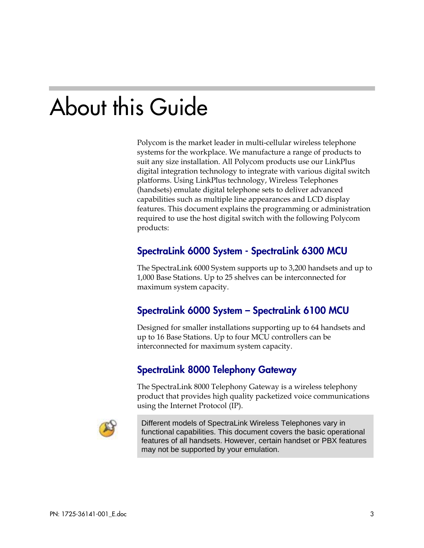# About this Guide

Polycom is the market leader in multi-cellular wireless telephone systems for the workplace. We manufacture a range of products to suit any size installation. All Polycom products use our LinkPlus digital integration technology to integrate with various digital switch platforms. Using LinkPlus technology, Wireless Telephones (handsets) emulate digital telephone sets to deliver advanced capabilities such as multiple line appearances and LCD display features. This document explains the programming or administration required to use the host digital switch with the following Polycom products:

### SpectraLink 6000 System - SpectraLink 6300 MCU

The SpectraLink 6000 System supports up to 3,200 handsets and up to 1,000 Base Stations. Up to 25 shelves can be interconnected for maximum system capacity.

### SpectraLink 6000 System – SpectraLink 6100 MCU

Designed for smaller installations supporting up to 64 handsets and up to 16 Base Stations. Up to four MCU controllers can be interconnected for maximum system capacity.

### SpectraLink 8000 Telephony Gateway

The SpectraLink 8000 Telephony Gateway is a wireless telephony product that provides high quality packetized voice communications using the Internet Protocol (IP).



Different models of SpectraLink Wireless Telephones vary in functional capabilities. This document covers the basic operational features of all handsets. However, certain handset or PBX features may not be supported by your emulation.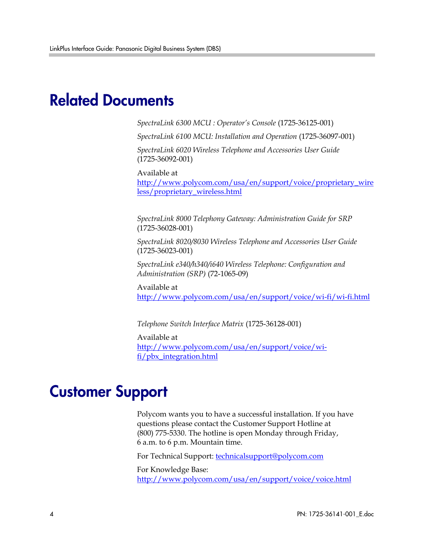### Related Documents

*SpectraLink 6300 MCU : Operator's Console* (1725-36125-001)

*SpectraLink 6100 MCU: Installation and Operation* (1725-36097-001)

*SpectraLink 6020 Wireless Telephone and Accessories User Guide*  (1725-36092-001)

Available at

[http://www.polycom.com/usa/en/support/voice/proprietary\\_wire](http://www.polycom.com/usa/en/support/voice/proprietary_wireless/proprietary_wireless.html) [less/proprietary\\_wireless.html](http://www.polycom.com/usa/en/support/voice/proprietary_wireless/proprietary_wireless.html)

*SpectraLink 8000 Telephony Gateway: Administration Guide for SRP*  (1725-36028-001)

*SpectraLink 8020/8030 Wireless Telephone and Accessories User Guide*  (1725-36023-001)

*SpectraLink e340/h340/i640 Wireless Telephone: Configuration and Administration (SRP)* (72-1065-09)

Available at <http://www.polycom.com/usa/en/support/voice/wi-fi/wi-fi.html>

*Telephone Switch Interface Matrix* (1725-36128-001)

Available at [http://www.polycom.com/usa/en/support/voice/wi](http://www.polycom.com/usa/en/support/voice/wi-fi/pbx_integration.html)[fi/pbx\\_integration.html](http://www.polycom.com/usa/en/support/voice/wi-fi/pbx_integration.html)

### Customer Support

Polycom wants you to have a successful installation. If you have questions please contact the Customer Support Hotline at (800) 775-5330. The hotline is open Monday through Friday, 6 a.m. to 6 p.m. Mountain time.

For Technical Support: [technicalsupport@polycom.com](mailto:technicalsupport@polycom.com)

For Knowledge Base: <http://www.polycom.com/usa/en/support/voice/voice.html>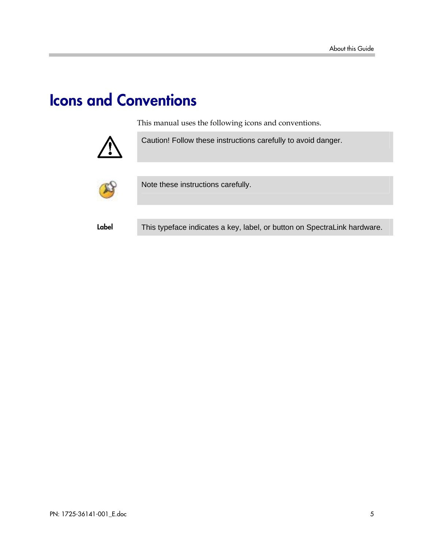## Icons and Conventions

This manual uses the following icons and conventions.



Caution! Follow these instructions carefully to avoid danger.



Note these instructions carefully.

Label This typeface indicates a key, label, or button on SpectraLink hardware.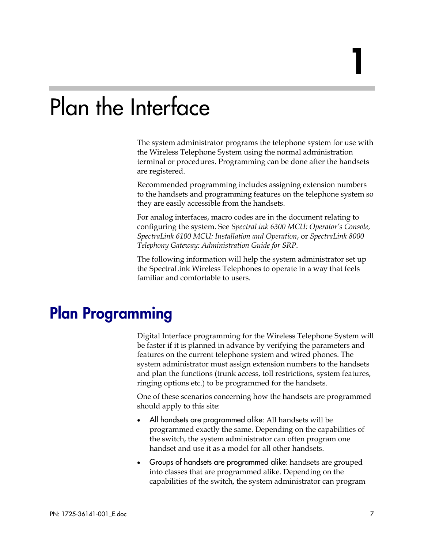# Plan the Interface

The system administrator programs the telephone system for use with the Wireless Telephone System using the normal administration terminal or procedures. Programming can be done after the handsets are registered.

Recommended programming includes assigning extension numbers to the handsets and programming features on the telephone system so they are easily accessible from the handsets.

For analog interfaces, macro codes are in the document relating to configuring the system. See *SpectraLink 6300 MCU: Operator's Console, SpectraLink 6100 MCU: Installation and Operation*, or *SpectraLink 8000 Telephony Gateway: Administration Guide for SRP*.

The following information will help the system administrator set up the SpectraLink Wireless Telephones to operate in a way that feels familiar and comfortable to users.

## Plan Programming

Digital Interface programming for the Wireless Telephone System will be faster if it is planned in advance by verifying the parameters and features on the current telephone system and wired phones. The system administrator must assign extension numbers to the handsets and plan the functions (trunk access, toll restrictions, system features, ringing options etc.) to be programmed for the handsets.

One of these scenarios concerning how the handsets are programmed should apply to this site:

- All handsets are programmed alike: All handsets will be programmed exactly the same. Depending on the capabilities of the switch, the system administrator can often program one handset and use it as a model for all other handsets.
- Groups of handsets are programmed alike: handsets are grouped into classes that are programmed alike. Depending on the capabilities of the switch, the system administrator can program

1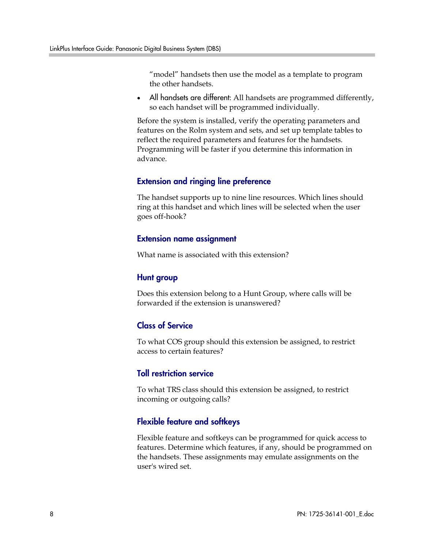"model" handsets then use the model as a template to program the other handsets.

• All handsets are different: All handsets are programmed differently, so each handset will be programmed individually.

Before the system is installed, verify the operating parameters and features on the Rolm system and sets, and set up template tables to reflect the required parameters and features for the handsets. Programming will be faster if you determine this information in advance.

#### Extension and ringing line preference

The handset supports up to nine line resources. Which lines should ring at this handset and which lines will be selected when the user goes off-hook?

#### Extension name assignment

What name is associated with this extension?

#### Hunt group

Does this extension belong to a Hunt Group, where calls will be forwarded if the extension is unanswered?

### Class of Service

To what COS group should this extension be assigned, to restrict access to certain features?

#### Toll restriction service

To what TRS class should this extension be assigned, to restrict incoming or outgoing calls?

### Flexible feature and softkeys

Flexible feature and softkeys can be programmed for quick access to features. Determine which features, if any, should be programmed on the handsets. These assignments may emulate assignments on the user's wired set.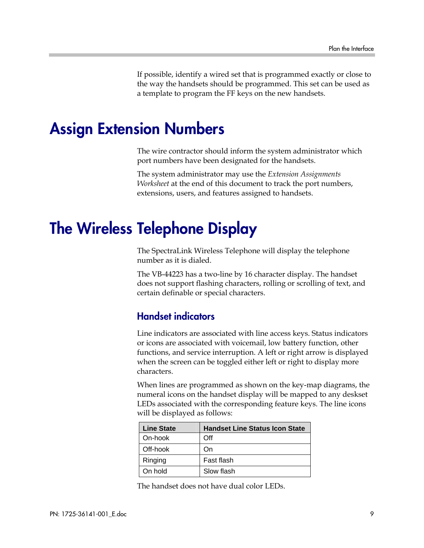If possible, identify a wired set that is programmed exactly or close to the way the handsets should be programmed. This set can be used as a template to program the FF keys on the new handsets.

### Assign Extension Numbers

The wire contractor should inform the system administrator which port numbers have been designated for the handsets.

The system administrator may use the *Extension Assignments Worksheet* at the end of this document to track the port numbers, extensions, users, and features assigned to handsets.

## The Wireless Telephone Display

The SpectraLink Wireless Telephone will display the telephone number as it is dialed.

The VB-44223 has a two-line by 16 character display. The handset does not support flashing characters, rolling or scrolling of text, and certain definable or special characters.

### Handset indicators

Line indicators are associated with line access keys. Status indicators or icons are associated with voicemail, low battery function, other functions, and service interruption. A left or right arrow is displayed when the screen can be toggled either left or right to display more characters.

When lines are programmed as shown on the key-map diagrams, the numeral icons on the handset display will be mapped to any deskset LEDs associated with the corresponding feature keys. The line icons will be displayed as follows:

| <b>Line State</b> | <b>Handset Line Status Icon State</b> |
|-------------------|---------------------------------------|
| On-hook           | Off                                   |
| Off-hook          | On)                                   |
| Ringing           | Fast flash                            |
| On hold           | Slow flash                            |

The handset does not have dual color LEDs.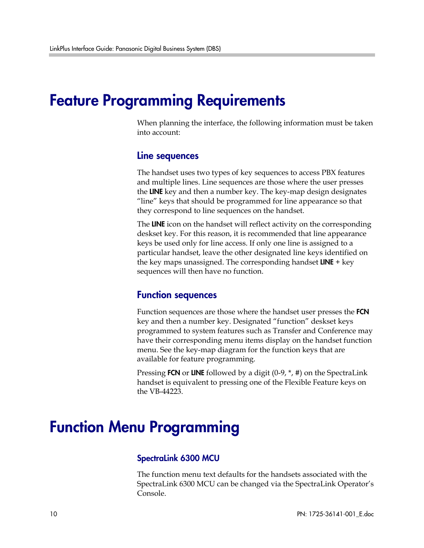### Feature Programming Requirements

When planning the interface, the following information must be taken into account:

#### Line sequences

The handset uses two types of key sequences to access PBX features and multiple lines. Line sequences are those where the user presses the LINE key and then a number key. The key-map design designates "line" keys that should be programmed for line appearance so that they correspond to line sequences on the handset.

The LINE icon on the handset will reflect activity on the corresponding deskset key. For this reason, it is recommended that line appearance keys be used only for line access. If only one line is assigned to a particular handset, leave the other designated line keys identified on the key maps unassigned. The corresponding handset **LINE**  $+$  key sequences will then have no function.

### Function sequences

Function sequences are those where the handset user presses the FCN key and then a number key. Designated "function" deskset keys programmed to system features such as Transfer and Conference may have their corresponding menu items display on the handset function menu. See the key-map diagram for the function keys that are available for feature programming.

Pressing FCN or LINE followed by a digit (0-9,  $*$ , #) on the SpectraLink handset is equivalent to pressing one of the Flexible Feature keys on the VB-44223.

### Function Menu Programming

#### SpectraLink 6300 MCU

The function menu text defaults for the handsets associated with the SpectraLink 6300 MCU can be changed via the SpectraLink Operator's Console.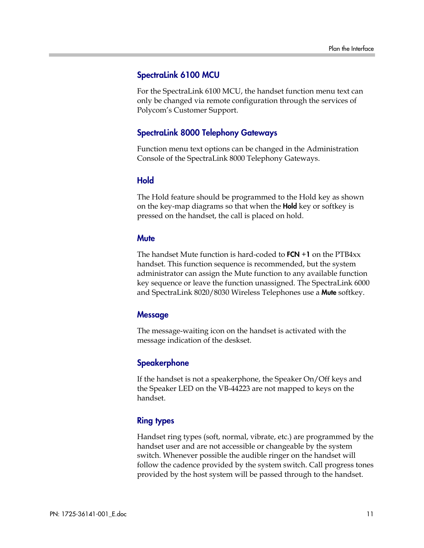#### SpectraLink 6100 MCU

For the SpectraLink 6100 MCU, the handset function menu text can only be changed via remote configuration through the services of Polycom's Customer Support.

### SpectraLink 8000 Telephony Gateways

Function menu text options can be changed in the Administration Console of the SpectraLink 8000 Telephony Gateways.

### Hold

The Hold feature should be programmed to the Hold key as shown on the key-map diagrams so that when the **Hold** key or softkey is pressed on the handset, the call is placed on hold.

### **Mute**

The handset Mute function is hard-coded to  $FCN + 1$  on the PTB4 $xx$ handset. This function sequence is recommended, but the system administrator can assign the Mute function to any available function key sequence or leave the function unassigned. The SpectraLink 6000 and SpectraLink 8020/8030 Wireless Telephones use a Mute softkey.

### **Message**

The message-waiting icon on the handset is activated with the message indication of the deskset.

### **Speakerphone**

If the handset is not a speakerphone, the Speaker On/Off keys and the Speaker LED on the VB-44223 are not mapped to keys on the handset.

### Ring types

Handset ring types (soft, normal, vibrate, etc.) are programmed by the handset user and are not accessible or changeable by the system switch. Whenever possible the audible ringer on the handset will follow the cadence provided by the system switch. Call progress tones provided by the host system will be passed through to the handset.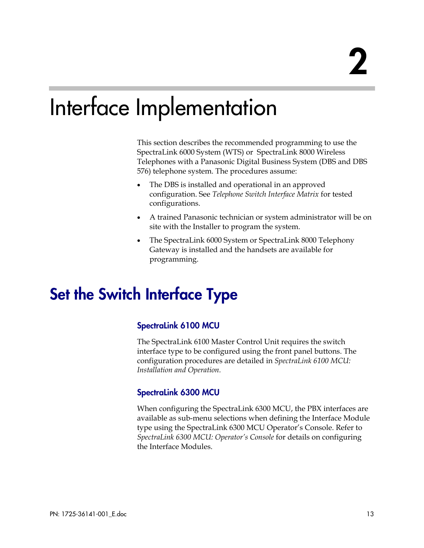# Interface Implementation

This section describes the recommended programming to use the SpectraLink 6000 System (WTS) or SpectraLink 8000 Wireless Telephones with a Panasonic Digital Business System (DBS and DBS 576) telephone system. The procedures assume:

- The DBS is installed and operational in an approved configuration. See *Telephone Switch Interface Matrix* for tested configurations.
- A trained Panasonic technician or system administrator will be on site with the Installer to program the system.
- The SpectraLink 6000 System or SpectraLink 8000 Telephony Gateway is installed and the handsets are available for programming.

## Set the Switch Interface Type

### SpectraLink 6100 MCU

The SpectraLink 6100 Master Control Unit requires the switch interface type to be configured using the front panel buttons. The configuration procedures are detailed in *SpectraLink 6100 MCU: Installation and Operation.*

### SpectraLink 6300 MCU

When configuring the SpectraLink 6300 MCU, the PBX interfaces are available as sub-menu selections when defining the Interface Module type using the SpectraLink 6300 MCU Operator's Console. Refer to *SpectraLink 6300 MCU: Operator's Console* for details on configuring the Interface Modules.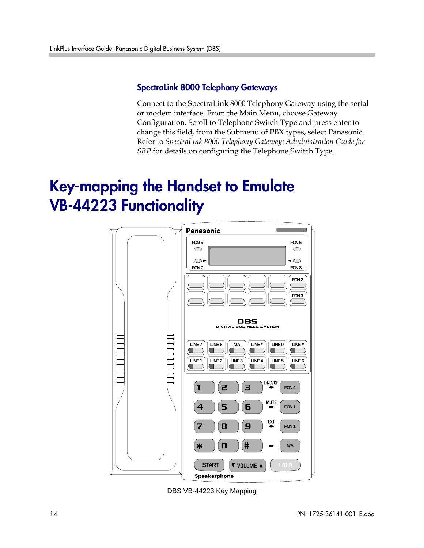### SpectraLink 8000 Telephony Gateways

Connect to the SpectraLink 8000 Telephony Gateway using the serial or modem interface. From the Main Menu, choose Gateway Configuration. Scroll to Telephone Switch Type and press enter to change this field, from the Submenu of PBX types, select Panasonic. Refer to *SpectraLink 8000 Telephony Gateway: Administration Guide for SRP* for details on configuring the Telephone Switch Type.

## Key-mapping the Handset to Emulate VB-44223 Functionality



DBS VB-44223 Key Mapping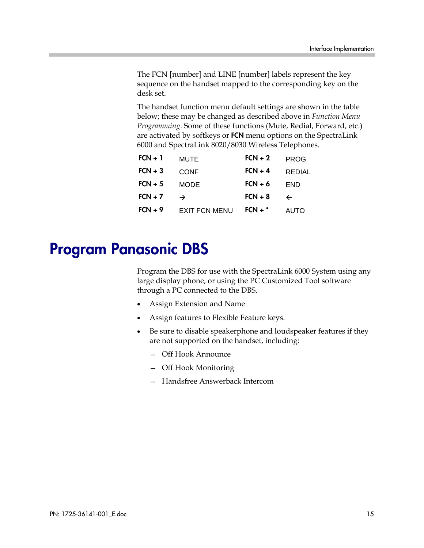The FCN [number] and LINE [number] labels represent the key sequence on the handset mapped to the corresponding key on the desk set.

The handset function menu default settings are shown in the table below; these may be changed as described above in *Function Menu Programming*. Some of these functions (Mute, Redial, Forward, etc.) are activated by softkeys or FCN menu options on the SpectraLink 6000 and SpectraLink 8020/8030 Wireless Telephones.

| $FCN + 1$ | <b>MUTE</b>          | $FCN + 2$ | <b>PROG</b>   |
|-----------|----------------------|-----------|---------------|
| $FCN + 3$ | <b>CONF</b>          | $FCN + 4$ | <b>REDIAL</b> |
| $FCN + 5$ | <b>MODE</b>          | $FCN + 6$ | <b>END</b>    |
| $FCN + 7$ | →                    | $FCN + 8$ | $\leftarrow$  |
| $FCN + 9$ | <b>EXIT FCN MENU</b> | $FCN +$ * | <b>AUTO</b>   |

### Program Panasonic DBS

Program the DBS for use with the SpectraLink 6000 System using any large display phone, or using the PC Customized Tool software through a PC connected to the DBS.

- Assign Extension and Name
- Assign features to Flexible Feature keys.
- Be sure to disable speakerphone and loudspeaker features if they are not supported on the handset, including:
	- Off Hook Announce
	- Off Hook Monitoring
	- Handsfree Answerback Intercom